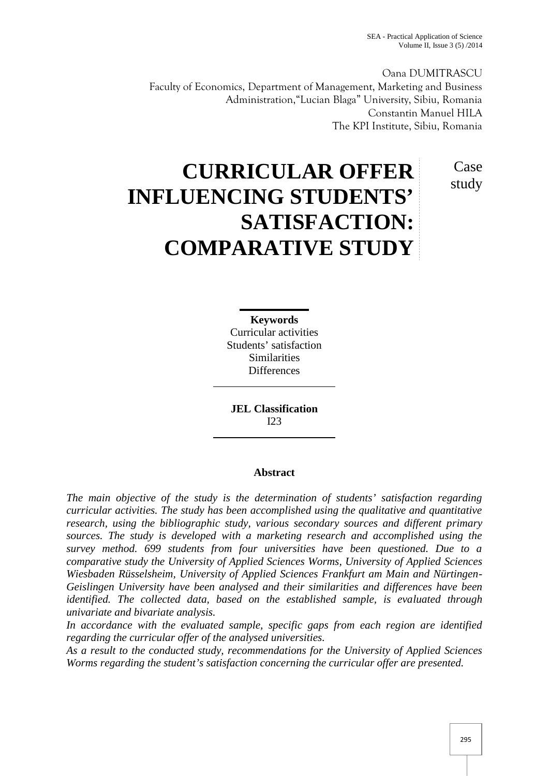Oana DUMITRASCU Faculty of Economics, Department of Management, Marketing and Business Administration,"Lucian Blaga" University, Sibiu, Romania Constantin Manuel HILA The KPI Institute, Sibiu, Romania

> Case study

# **CURRICULAR OFFER INFLUENCING STUDENTS' SATISFACTION: COMPARATIVE STUDY**

**Keywords** Curricular activities Students' satisfaction Similarities **Differences** 

**JEL Classification**  $I23$ 

# **Abstract**

*The main objective of the study is the determination of students' satisfaction regarding curricular activities. The study has been accomplished using the qualitative and quantitative research, using the bibliographic study, various secondary sources and different primary sources. The study is developed with a marketing research and accomplished using the survey method. 699 students from four universities have been questioned. Due to a comparative study the University of Applied Sciences Worms, University of Applied Sciences Wiesbaden Rüsselsheim, University of Applied Sciences Frankfurt am Main and Nürtingen- Geislingen University have been analysed and their similarities and differences have been identified. The collected data, based on the established sample, is evaluated through univariate and bivariate analysis.*

*In accordance with the evaluated sample, specific gaps from each region are identified regarding the curricular offer of the analysed universities.*

*As a result to the conducted study, recommendations for the University of Applied Sciences Worms regarding the student's satisfaction concerning the curricular offer are presented.*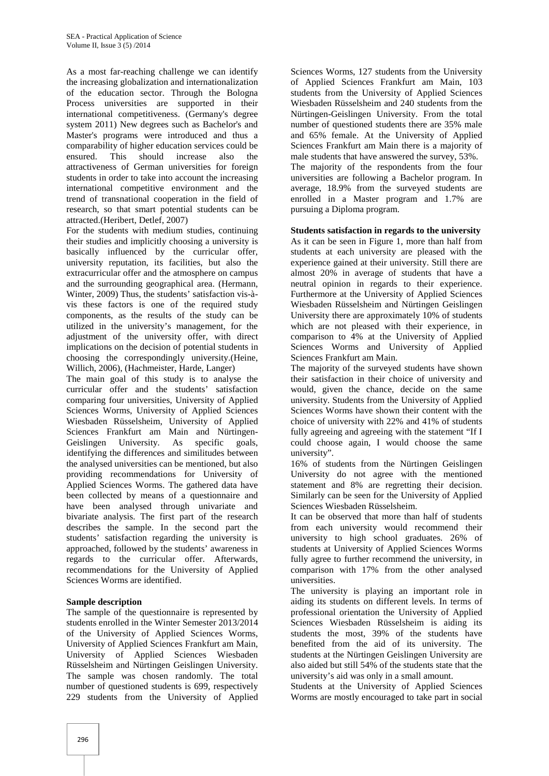As a most far-reaching challenge we can identify the increasing globalization and internationalization of the education sector. Through the Bologna Process universities are supported in their international competitiveness. (Germany's degree system 2011) New degrees such as Bachelor's and Master's programs were introduced and thus a comparability of higher education services could be ensured. This should increase also the attractiveness of German universities for foreign students in order to take into account the increasing international competitive environment and the trend of transnational cooperation in the field of research, so that smart potential students can be attracted.(Heribert, Detlef, 2007)

For the students with medium studies, continuing their studies and implicitly choosing a university is basically influenced by the curricular offer, university reputation, its facilities, but also the extracurricular offer and the atmosphere on campus and the surrounding geographical area. (Hermann, Winter, 2009) Thus, the students' satisfaction vis-à vis these factors is one of the required study components, as the results of the study can be utilized in the university's management, for the adjustment of the university offer, with direct implications on the decision of potential students in choosing the correspondingly university.(Heine, Willich, 2006), (Hachmeister, Harde, Langer)

The main goal of this study is to analyse the curricular offer and the students' satisfaction comparing four universities, University of Applied Sciences Worms, University of Applied Sciences Wiesbaden Rüsselsheim, University of Applied Sciences Frankfurt am Main and Nürtingen- Geislingen University. As specific goals, identifying the differences and similitudes between the analysed universities can be mentioned, but also providing recommendations for University of Applied Sciences Worms. The gathered data have been collected by means of a questionnaire and have been analysed through univariate and bivariate analysis. The first part of the research describes the sample. In the second part the students' satisfaction regarding the university is approached, followed by the students' awareness in regards to the curricular offer. Afterwards, recommendations for the University of Applied Sciences Worms are identified.

## **Sample description**

The sample of the questionnaire is represented by students enrolled in the Winter Semester 2013/2014 of the University of Applied Sciences Worms, University of Applied Sciences Frankfurt am Main, University of Applied Sciences Wiesbaden Rüsselsheim and Nürtingen Geislingen University. The sample was chosen randomly. The total number of questioned students is 699, respectively 229 students from the University of Applied

Sciences Worms, 127 students from the University of Applied Sciences Frankfurt am Main, 103 students from the University of Applied Sciences Wiesbaden Rüsselsheim and 240 students from the Nürtingen-Geislingen University. From the total number of questioned students there are 35% male and 65% female. At the University of Applied Sciences Frankfurt am Main there is a majority of male students that have answered the survey, 53%. The majority of the respondents from the four universities are following a Bachelor program. In average, 18.9% from the surveyed students are enrolled in a Master program and 1.7% are pursuing a Diploma program.

#### **Students satisfaction in regards to the university**

As it can be seen in Figure 1, more than half from students at each university are pleased with the experience gained at their university. Still there are almost 20% in average of students that have a neutral opinion in regards to their experience. Furthermore at the University of Applied Sciences Wiesbaden Rüsselsheim and Nürtingen Geislingen University there are approximately 10% of students which are not pleased with their experience, in comparison to 4% at the University of Applied Sciences Worms and University of Applied Sciences Frankfurt am Main.

The majority of the surveyed students have shown their satisfaction in their choice of university and would, given the chance, decide on the same university. Students from the University of Applied Sciences Worms have shown their content with the choice of university with 22% and 41% of students fully agreeing and agreeing with the statement "If I could choose again, I would choose the same university".

16% of students from the Nürtingen Geislingen University do not agree with the mentioned statement and 8% are regretting their decision. Similarly can be seen for the University of Applied Sciences Wiesbaden Rüsselsheim.

It can be observed that more than half of students from each university would recommend their university to high school graduates. 26% of students at University of Applied Sciences Worms fully agree to further recommend the university, in comparison with 17% from the other analysed universities.

The university is playing an important role in aiding its students on different levels. In terms of professional orientation the University of Applied Sciences Wiesbaden Rüsselsheim is aiding its students the most, 39% of the students have benefited from the aid of its university. The students at the Nürtingen Geislingen University are also aided but still 54% of the students state that the university's aid was only in a small amount.

Students at the University of Applied Sciences Worms are mostly encouraged to take part in social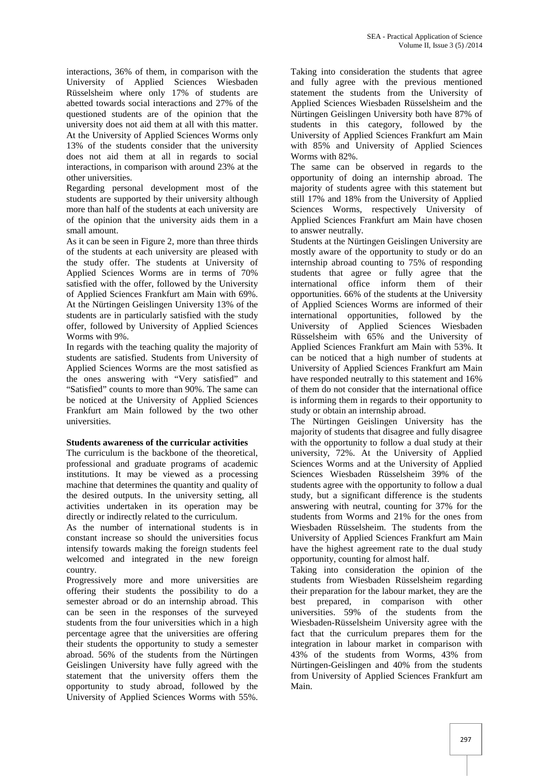interactions, 36% of them, in comparison with the University of Applied Sciences Wiesbaden Rüsselsheim where only 17% of students are abetted towards social interactions and 27% of the questioned students are of the opinion that the university does not aid them at all with this matter. At the University of Applied Sciences Worms only 13% of the students consider that the university does not aid them at all in regards to social interactions, in comparison with around 23% at the other universities.

Regarding personal development most of the students are supported by their university although more than half of the students at each university are of the opinion that the university aids them in a small amount.

As it can be seen in Figure 2, more than three thirds of the students at each university are pleased with the study offer. The students at University of Applied Sciences Worms are in terms of 70% satisfied with the offer, followed by the University of Applied Sciences Frankfurt am Main with 69%. At the Nürtingen Geislingen University 13% of the students are in particularly satisfied with the study offer, followed by University of Applied Sciences Worms with 9%.

In regards with the teaching quality the majority of students are satisfied. Students from University of Applied Sciences Worms are the most satisfied as the ones answering with "Very satisfied" and "Satisfied" counts to more than 90%. The same can be noticed at the University of Applied Sciences Frankfurt am Main followed by the two other universities.

## **Students awareness of the curricular activities**

The curriculum is the backbone of the theoretical, professional and graduate programs of academic institutions. It may be viewed as a processing machine that determines the quantity and quality of the desired outputs. In the university setting, all activities undertaken in its operation may be directly or indirectly related to the curriculum.

As the number of international students is in constant increase so should the universities focus intensify towards making the foreign students feel welcomed and integrated in the new foreign country.

Progressively more and more universities are offering their students the possibility to do a semester abroad or do an internship abroad. This can be seen in the responses of the surveyed students from the four universities which in a high percentage agree that the universities are offering their students the opportunity to study a semester abroad. 56% of the students from the Nürtingen Geislingen University have fully agreed with the statement that the university offers them the opportunity to study abroad, followed by the University of Applied Sciences Worms with 55%.

Taking into consideration the students that agree and fully agree with the previous mentioned statement the students from the University of Applied Sciences Wiesbaden Rüsselsheim and the Nürtingen Geislingen University both have 87% of students in this category, followed by the University of Applied Sciences Frankfurt am Main with 85% and University of Applied Sciences Worms with 82%.

The same can be observed in regards to the opportunity of doing an internship abroad. The majority of students agree with this statement but still 17% and 18% from the University of Applied Sciences Worms, respectively University of Applied Sciences Frankfurt am Main have chosen to answer neutrally.

Students at the Nürtingen Geislingen University are mostly aware of the opportunity to study or do an internship abroad counting to 75% of responding students that agree or fully agree that the international office inform them of their opportunities. 66% of the students at the University of Applied Sciences Worms are informed of their international opportunities, followed by the University of Applied Sciences Wiesbaden Rüsselsheim with 65% and the University of Applied Sciences Frankfurt am Main with 53%. It can be noticed that a high number of students at University of Applied Sciences Frankfurt am Main have responded neutrally to this statement and 16% of them do not consider that the international office is informing them in regards to their opportunity to study or obtain an internship abroad.

The Nürtingen Geislingen University has the majority of students that disagree and fully disagree with the opportunity to follow a dual study at their university, 72%. At the University of Applied Sciences Worms and at the University of Applied Sciences Wiesbaden Rüsselsheim 39% of the students agree with the opportunity to follow a dual study, but a significant difference is the students answering with neutral, counting for 37% for the students from Worms and 21% for the ones from Wiesbaden Rüsselsheim. The students from the University of Applied Sciences Frankfurt am Main have the highest agreement rate to the dual study opportunity, counting for almost half.

Taking into consideration the opinion of the students from Wiesbaden Rüsselsheim regarding their preparation for the labour market, they are the best prepared, in comparison with other universities. 59% of the students from the Wiesbaden-Rüsselsheim University agree with the fact that the curriculum prepares them for the integration in labour market in comparison with 43% of the students from Worms, 43% from Nürtingen-Geislingen and 40% from the students from University of Applied Sciences Frankfurt am Main.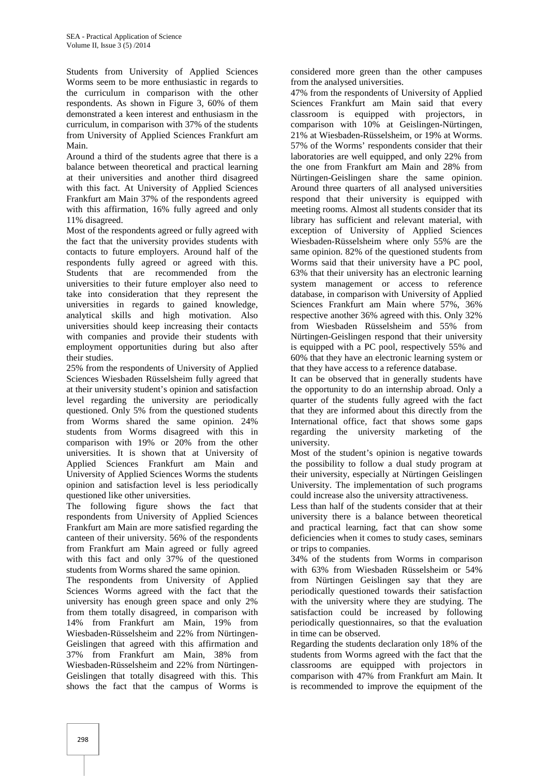Students from University of Applied Sciences Worms seem to be more enthusiastic in regards to the curriculum in comparison with the other respondents. As shown in Figure 3, 60% of them demonstrated a keen interest and enthusiasm in the curriculum, in comparison with 37% of the students from University of Applied Sciences Frankfurt am Main.

Around a third of the students agree that there is a balance between theoretical and practical learning at their universities and another third disagreed with this fact. At University of Applied Sciences Frankfurt am Main 37% of the respondents agreed with this affirmation, 16% fully agreed and only 11% disagreed.

Most of the respondents agreed or fully agreed with the fact that the university provides students with contacts to future employers. Around half of the respondents fully agreed or agreed with this. Students that are recommended from the universities to their future employer also need to take into consideration that they represent the universities in regards to gained knowledge, analytical skills and high motivation. Also universities should keep increasing their contacts with companies and provide their students with employment opportunities during but also after their studies.

25% from the respondents of University of Applied Sciences Wiesbaden Rüsselsheim fully agreed that at their university student's opinion and satisfaction level regarding the university are periodically questioned. Only 5% from the questioned students from Worms shared the same opinion. 24% students from Worms disagreed with this in comparison with 19% or 20% from the other universities. It is shown that at University of Applied Sciences Frankfurt am Main and University of Applied Sciences Worms the students opinion and satisfaction level is less periodically questioned like other universities.

The following figure shows the fact that respondents from University of Applied Sciences Frankfurt am Main are more satisfied regarding the canteen of their university. 56% of the respondents from Frankfurt am Main agreed or fully agreed with this fact and only 37% of the questioned students from Worms shared the same opinion.

The respondents from University of Applied Sciences Worms agreed with the fact that the university has enough green space and only 2% from them totally disagreed, in comparison with 14% from Frankfurt am Main, 19% from Wiesbaden-Rüsselsheim and 22% from Nürtingen- Geislingen that agreed with this affirmation and 37% from Frankfurt am Main, 38% from Wiesbaden-Rüsselsheim and 22% from Nürtingen- Geislingen that totally disagreed with this. This shows the fact that the campus of Worms is

considered more green than the other campuses from the analysed universities.

47% from the respondents of University of Applied Sciences Frankfurt am Main said that every classroom is equipped with projectors, in comparison with 10% at Geislingen-Nürtingen, 21% at Wiesbaden-Rüsselsheim, or 19% at Worms. 57% of the Worms' respondents consider that their laboratories are well equipped, and only 22% from the one from Frankfurt am Main and 28% from Nürtingen-Geislingen share the same opinion. Around three quarters of all analysed universities respond that their university is equipped with meeting rooms. Almost all students consider that its library has sufficient and relevant material, with exception of University of Applied Sciences Wiesbaden-Rüsselsheim where only 55% are the same opinion. 82% of the questioned students from Worms said that their university have a PC pool, 63% that their university has an electronic learning system management or access to reference database, in comparison with University of Applied Sciences Frankfurt am Main where 57%, 36% respective another 36% agreed with this. Only 32% from Wiesbaden Rüsselsheim and 55% from Nürtingen-Geislingen respond that their university is equipped with a PC pool, respectively 55% and 60% that they have an electronic learning system or that they have access to a reference database.

It can be observed that in generally students have the opportunity to do an internship abroad. Only a quarter of the students fully agreed with the fact that they are informed about this directly from the International office, fact that shows some gaps regarding the university marketing of the university.

Most of the student's opinion is negative towards the possibility to follow a dual study program at their university, especially at Nürtingen Geislingen University. The implementation of such programs could increase also the university attractiveness.

Less than half of the students consider that at their university there is a balance between theoretical and practical learning, fact that can show some deficiencies when it comes to study cases, seminars or trips to companies.

34% of the students from Worms in comparison with 63% from Wiesbaden Rüsselsheim or 54% from Nürtingen Geislingen say that they are periodically questioned towards their satisfaction with the university where they are studying. The satisfaction could be increased by following periodically questionnaires, so that the evaluation in time can be observed.

Regarding the students declaration only 18% of the students from Worms agreed with the fact that the classrooms are equipped with projectors in comparison with 47% from Frankfurt am Main. It is recommended to improve the equipment of the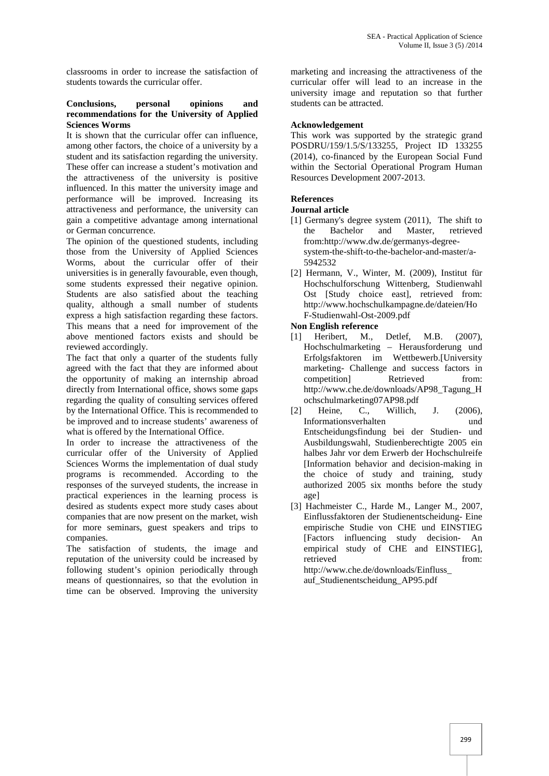classrooms in order to increase the satisfaction of students towards the curricular offer.

#### **Conclusions, personal opinions and recommendations for the University of Applied Sciences Worms**

It is shown that the curricular offer can influence, among other factors, the choice of a university by a student and its satisfaction regarding the university. These offer can increase a student's motivation and the attractiveness of the university is positive influenced. In this matter the university image and performance will be improved. Increasing its attractiveness and performance, the university can gain a competitive advantage among international or German concurrence.

The opinion of the questioned students, including those from the University of Applied Sciences Worms, about the curricular offer of their universities is in generally favourable, even though, some students expressed their negative opinion. Students are also satisfied about the teaching quality, although a small number of students express a high satisfaction regarding these factors. This means that a need for improvement of the above mentioned factors exists and should be reviewed accordingly.

The fact that only a quarter of the students fully agreed with the fact that they are informed about the opportunity of making an internship abroad directly from International office, shows some gaps regarding the quality of consulting services offered by the International Office. This is recommended to be improved and to increase students' awareness of what is offered by the International Office.

In order to increase the attractiveness of the curricular offer of the University of Applied Sciences Worms the implementation of dual study programs is recommended. According to the responses of the surveyed students, the increase in practical experiences in the learning process is desired as students expect more study cases about companies that are now present on the market, wish for more seminars, guest speakers and trips to companies.

The satisfaction of students, the image and reputation of the university could be increased by following student's opinion periodically through means of questionnaires, so that the evolution in time can be observed. Improving the university

marketing and increasing the attractiveness of the curricular offer will lead to an increase in the university image and reputation so that further students can be attracted.

# **Acknowledgement**

This work was supported by the strategic grand POSDRU/159/1.5/S/133255, Project ID 133255 (2014), co-financed by the European Social Fund within the Sectorial Operational Program Human Resources Development 2007-2013.

# **References**

## **Journal article**

- [1] Germany's degree system (2011), The shift to the Bachelor and Master, retrieved from:http://www.dw.de/germanys-degree system-the-shift-to-the-bachelor-and-master/a- 5942532
- [2] Hermann, V., Winter, M. (2009), Institut für Hochschulforschung Wittenberg, Studienwahl Ost [Study choice east], retrieved from: http://www.hochschulkampagne.de/dateien/Ho F-Studienwahl-Ost-2009.pdf

## **Non English reference**

- [1] Heribert, M., Detlef, M.B. (2007), Hochschulmarketing – Herausforderung und Erfolgsfaktoren im Wettbewerb.[University marketing- Challenge and success factors in competition] Retrieved from: http://www.che.de/downloads/AP98\_Tagung\_H ochschulmarketing07AP98.pdf
- Heine, C., Willich, J. (2006), Informationsverhalten und Entscheidungsfindung bei der Studien- und Ausbildungswahl, Studienberechtigte 2005 ein halbes Jahr vor dem Erwerb der Hochschulreife [Information behavior and decision-making in the choice of study and training, study authorized 2005 six months before the study age]
- [3] Hachmeister C., Harde M., Langer M., 2007, Einflussfaktoren der Studienentscheidung- Eine empirische Studie von CHE und EINSTIEG [Factors influencing study decision- An empirical study of CHE and EINSTIEG], retrieved from: http://www.che.de/downloads/Einfluss\_ auf\_Studienentscheidung\_AP95.pdf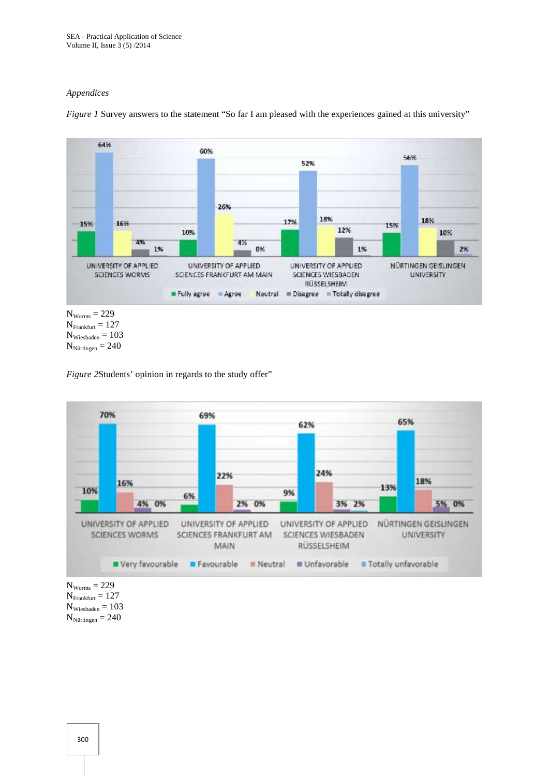## *Appendices*



*Figure 1* Survey answers to the statement "So far I am pleased with the experiences gained at this university"

```
N_{Frankfurt} = 127N_{Wiesbaden} = 103N_{Nürtingen} = 240
```
*Figure 2*Students' opinion in regards to the study offer"



 $N_{Worms} = 229$  $N_{Frankfurt} = 127$  $N_{Wiesbaden} = 103$  $N_{Nürtingen} = 240$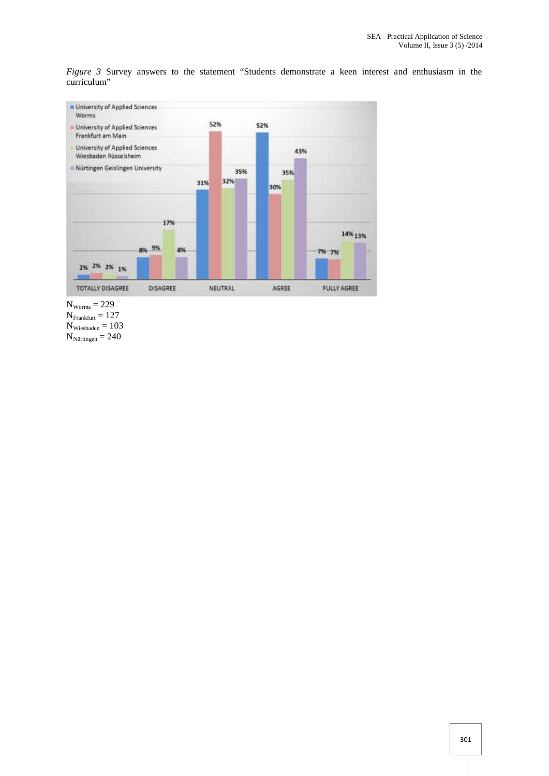*Figure 3* Survey answers to the statement "Students demonstrate a keen interest and enthusiasm in the curriculum"



 $N_{Worms} = 229$ 

 $N_{Frankfurt} = 127$ 

 $N_{Wiesbaden} = 103$ 

 $N_{\text{Nürtingen}} = 240$